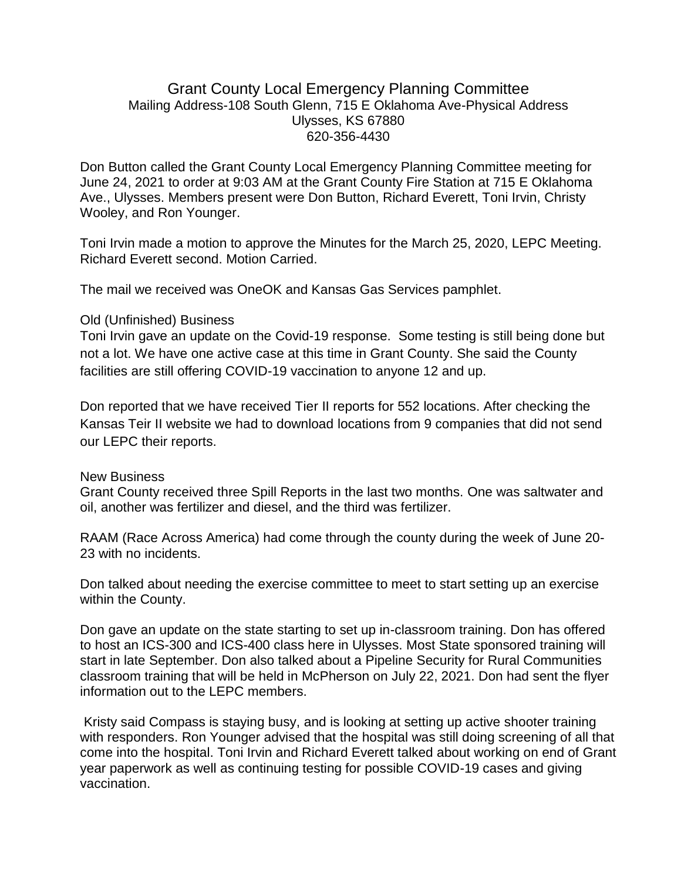## Grant County Local Emergency Planning Committee Mailing Address-108 South Glenn, 715 E Oklahoma Ave-Physical Address Ulysses, KS 67880 620-356-4430

Don Button called the Grant County Local Emergency Planning Committee meeting for June 24, 2021 to order at 9:03 AM at the Grant County Fire Station at 715 E Oklahoma Ave., Ulysses. Members present were Don Button, Richard Everett, Toni Irvin, Christy Wooley, and Ron Younger.

Toni Irvin made a motion to approve the Minutes for the March 25, 2020, LEPC Meeting. Richard Everett second. Motion Carried.

The mail we received was OneOK and Kansas Gas Services pamphlet.

## Old (Unfinished) Business

Toni Irvin gave an update on the Covid-19 response. Some testing is still being done but not a lot. We have one active case at this time in Grant County. She said the County facilities are still offering COVID-19 vaccination to anyone 12 and up.

Don reported that we have received Tier II reports for 552 locations. After checking the Kansas Teir II website we had to download locations from 9 companies that did not send our LEPC their reports.

## New Business

Grant County received three Spill Reports in the last two months. One was saltwater and oil, another was fertilizer and diesel, and the third was fertilizer.

RAAM (Race Across America) had come through the county during the week of June 20- 23 with no incidents.

Don talked about needing the exercise committee to meet to start setting up an exercise within the County.

Don gave an update on the state starting to set up in-classroom training. Don has offered to host an ICS-300 and ICS-400 class here in Ulysses. Most State sponsored training will start in late September. Don also talked about a Pipeline Security for Rural Communities classroom training that will be held in McPherson on July 22, 2021. Don had sent the flyer information out to the LEPC members.

Kristy said Compass is staying busy, and is looking at setting up active shooter training with responders. Ron Younger advised that the hospital was still doing screening of all that come into the hospital. Toni Irvin and Richard Everett talked about working on end of Grant year paperwork as well as continuing testing for possible COVID-19 cases and giving vaccination.